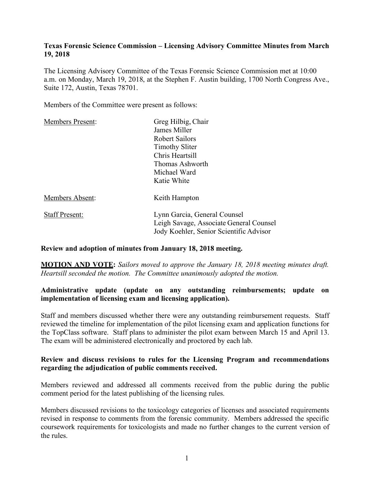### **Texas Forensic Science Commission – Licensing Advisory Committee Minutes from March 19, 2018**

The Licensing Advisory Committee of the Texas Forensic Science Commission met at 10:00 a.m. on Monday, March 19, 2018, at the Stephen F. Austin building, 1700 North Congress Ave., Suite 172, Austin, Texas 78701.

Members of the Committee were present as follows:

| <b>Members Present:</b> | Greg Hilbig, Chair                      |
|-------------------------|-----------------------------------------|
|                         | James Miller                            |
|                         | <b>Robert Sailors</b>                   |
|                         | <b>Timothy Sliter</b>                   |
|                         | Chris Heartsill                         |
|                         | Thomas Ashworth                         |
|                         | Michael Ward                            |
|                         | Katie White                             |
| Members Absent:         | Keith Hampton                           |
| <b>Staff Present:</b>   | Lynn Garcia, General Counsel            |
|                         | Leigh Savage, Associate General Counsel |
|                         | Jody Koehler, Senior Scientific Advisor |

#### **Review and adoption of minutes from January 18, 2018 meeting.**

**MOTION AND VOTE:** *Sailors moved to approve the January 18, 2018 meeting minutes draft. Heartsill seconded the motion. The Committee unanimously adopted the motion.*

## **Administrative update (update on any outstanding reimbursements; update on implementation of licensing exam and licensing application).**

Staff and members discussed whether there were any outstanding reimbursement requests. Staff reviewed the timeline for implementation of the pilot licensing exam and application functions for the TopClass software. Staff plans to administer the pilot exam between March 15 and April 13. The exam will be administered electronically and proctored by each lab.

### **Review and discuss revisions to rules for the Licensing Program and recommendations regarding the adjudication of public comments received.**

Members reviewed and addressed all comments received from the public during the public comment period for the latest publishing of the licensing rules.

Members discussed revisions to the toxicology categories of licenses and associated requirements revised in response to comments from the forensic community. Members addressed the specific coursework requirements for toxicologists and made no further changes to the current version of the rules.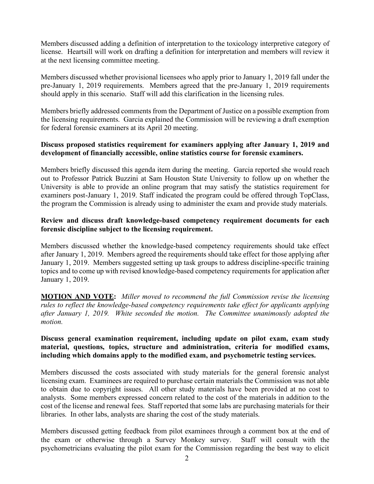Members discussed adding a definition of interpretation to the toxicology interpretive category of license. Heartsill will work on drafting a definition for interpretation and members will review it at the next licensing committee meeting.

Members discussed whether provisional licensees who apply prior to January 1, 2019 fall under the pre-January 1, 2019 requirements. Members agreed that the pre-January 1, 2019 requirements should apply in this scenario. Staff will add this clarification in the licensing rules.

Members briefly addressed comments from the Department of Justice on a possible exemption from the licensing requirements. Garcia explained the Commission will be reviewing a draft exemption for federal forensic examiners at its April 20 meeting.

## **Discuss proposed statistics requirement for examiners applying after January 1, 2019 and development of financially accessible, online statistics course for forensic examiners.**

Members briefly discussed this agenda item during the meeting. Garcia reported she would reach out to Professor Patrick Buzzini at Sam Houston State University to follow up on whether the University is able to provide an online program that may satisfy the statistics requirement for examiners post-January 1, 2019. Staff indicated the program could be offered through TopClass, the program the Commission is already using to administer the exam and provide study materials.

## **Review and discuss draft knowledge-based competency requirement documents for each forensic discipline subject to the licensing requirement.**

Members discussed whether the knowledge-based competency requirements should take effect after January 1, 2019. Members agreed the requirements should take effect for those applying after January 1, 2019. Members suggested setting up task groups to address discipline-specific training topics and to come up with revised knowledge-based competency requirements for application after January 1, 2019.

**MOTION AND VOTE:** *Miller moved to recommend the full Commission revise the licensing rules to reflect the knowledge-based competency requirements take effect for applicants applying after January 1, 2019. White seconded the motion. The Committee unanimously adopted the motion.*

## **Discuss general examination requirement, including update on pilot exam, exam study material, questions, topics, structure and administration, criteria for modified exams, including which domains apply to the modified exam, and psychometric testing services.**

Members discussed the costs associated with study materials for the general forensic analyst licensing exam. Examinees are required to purchase certain materials the Commission was not able to obtain due to copyright issues. All other study materials have been provided at no cost to analysts. Some members expressed concern related to the cost of the materials in addition to the cost of the license and renewal fees. Staff reported that some labs are purchasing materials for their libraries. In other labs, analysts are sharing the cost of the study materials.

Members discussed getting feedback from pilot examinees through a comment box at the end of the exam or otherwise through a Survey Monkey survey. Staff will consult with the psychometricians evaluating the pilot exam for the Commission regarding the best way to elicit